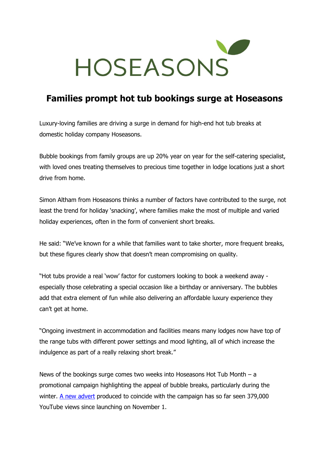

## **Families prompt hot tub bookings surge at Hoseasons**

Luxury-loving families are driving a surge in demand for high-end hot tub breaks at domestic holiday company Hoseasons.

Bubble bookings from family groups are up 20% year on year for the self-catering specialist, with loved ones treating themselves to precious time together in lodge locations just a short drive from home.

Simon Altham from Hoseasons thinks a number of factors have contributed to the surge, not least the trend for holiday 'snacking', where families make the most of multiple and varied holiday experiences, often in the form of convenient short breaks.

He said: "We've known for a while that families want to take shorter, more frequent breaks, but these figures clearly show that doesn't mean compromising on quality.

"Hot tubs provide a real 'wow' factor for customers looking to book a weekend away especially those celebrating a special occasion like a birthday or anniversary. The bubbles add that extra element of fun while also delivering an affordable luxury experience they can't get at home.

"Ongoing investment in accommodation and facilities means many lodges now have top of the range tubs with different power settings and mood lighting, all of which increase the indulgence as part of a really relaxing short break."

News of the bookings surge comes two weeks into Hoseasons Hot Tub Month – a promotional campaign highlighting the appeal of bubble breaks, particularly during the winter. [A new advert](https://www.youtube.com/watch?v=tgIv0W50-HI) produced to coincide with the campaign has so far seen  $379,000$ YouTube views since launching on November 1.